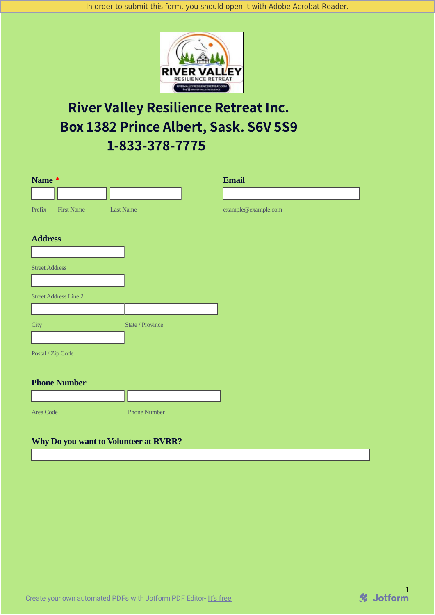

# River Valley Resilience Retreat Inc. Box 1382 Prince Albert, Sask. S6V 5S9 1-833-378-7775

| Name *                       |                         | <b>Email</b>        |
|------------------------------|-------------------------|---------------------|
|                              |                         |                     |
| <b>First Name</b><br>Prefix  | <b>Last Name</b>        | example@example.com |
| <b>Address</b>               |                         |                     |
|                              |                         |                     |
| <b>Street Address</b>        |                         |                     |
|                              |                         |                     |
| <b>Street Address Line 2</b> |                         |                     |
|                              |                         |                     |
| <b>City</b>                  | <b>State / Province</b> |                     |
|                              |                         |                     |
| Postal / Zip Code            |                         |                     |
|                              |                         |                     |
| <b>Phone Number</b>          | - 6                     |                     |

**Area Code** Phone Number

### **Why Do you want to Volunteer at RVRR?**

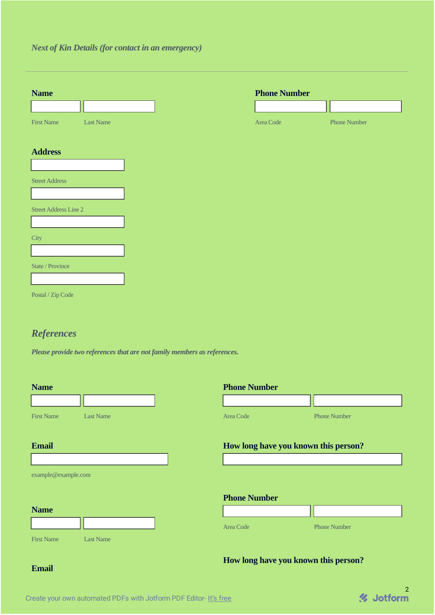## *Next of Kin Details (for contact in an emergency)*

| <b>Name</b>                           | <b>Phone Number</b> |                     |
|---------------------------------------|---------------------|---------------------|
|                                       |                     |                     |
| <b>First Name</b><br><b>Last Name</b> | Area Code           | <b>Phone Number</b> |
|                                       |                     |                     |
| <b>Address</b>                        |                     |                     |
|                                       |                     |                     |
| <b>Street Address</b>                 |                     |                     |
|                                       |                     |                     |
| <b>Street Address Line 2</b>          |                     |                     |
| City                                  |                     |                     |
|                                       |                     |                     |
| State / Province                      |                     |                     |
|                                       |                     |                     |
| Postal / Zip Code                     |                     |                     |
|                                       |                     |                     |
|                                       |                     |                     |

# *References*

*Please provide two references that are not family members as references.*

| <b>Name</b>                           | <b>Phone Number</b> |                                      |  |  |
|---------------------------------------|---------------------|--------------------------------------|--|--|
|                                       |                     |                                      |  |  |
| <b>First Name</b><br><b>Last Name</b> | Area Code           | <b>Phone Number</b>                  |  |  |
| <b>Email</b>                          |                     |                                      |  |  |
|                                       |                     | How long have you known this person? |  |  |
|                                       |                     |                                      |  |  |
| example@example.com                   |                     |                                      |  |  |
|                                       |                     |                                      |  |  |
|                                       | <b>Phone Number</b> |                                      |  |  |
| <b>Name</b>                           |                     |                                      |  |  |
|                                       | Area Code           | <b>Phone Number</b>                  |  |  |
| <b>First Name</b><br><b>Last Name</b> |                     |                                      |  |  |
|                                       |                     | How long have you known this person? |  |  |

2

#### **Email**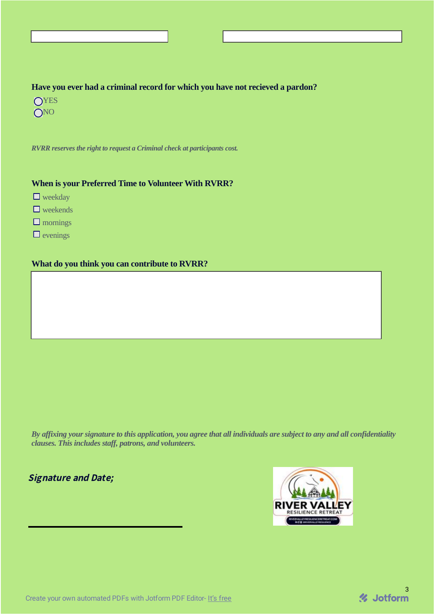#### **Have you ever had a criminal record for which you have not recieved a pardon?**

- **OYES**
- **ONO**

*RVRR reserves the right to request a Criminal check at participants cost.*

#### **When is your Preferred Time to Volunteer With RVRR?**

- $\Box$  weekday
- $\Box$  weekends
- $\square$  mornings
- $\Box$  evenings

#### **What do you think you can contribute to RVRR?**

By affixing your signature to this application, you agree that all individuals are subject to any and all confidentiality *clauses. This includes staff, patrons, and volunteers.*

# Signature and Date;